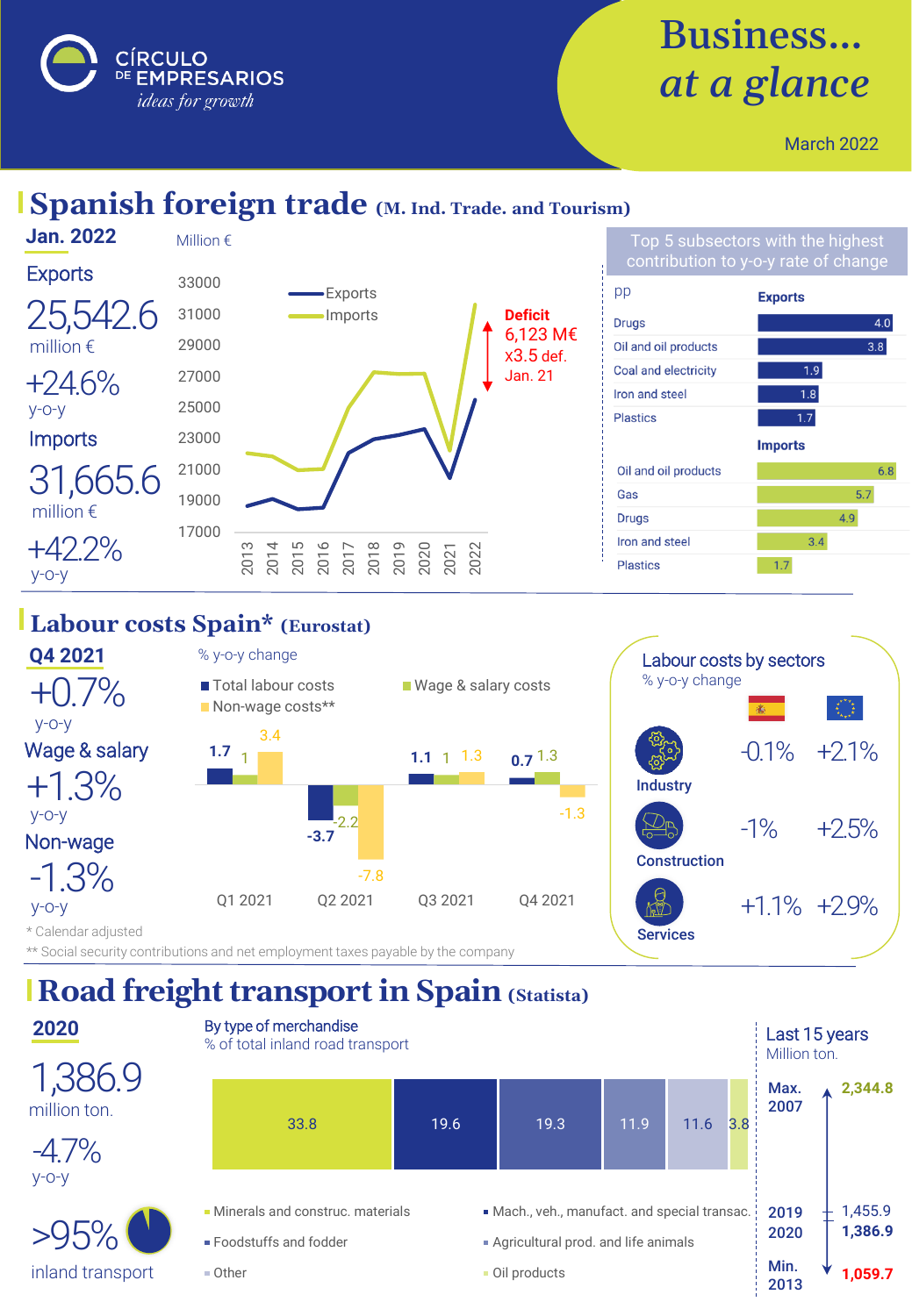

# Business… *at a glance*

March 2022

#### **Spanish foreign trade (M. Ind. Trade. and Tourism)**



#### **Labour costs Spain\* (Eurostat)**



### **Road freight transport in Spain (Statista)**